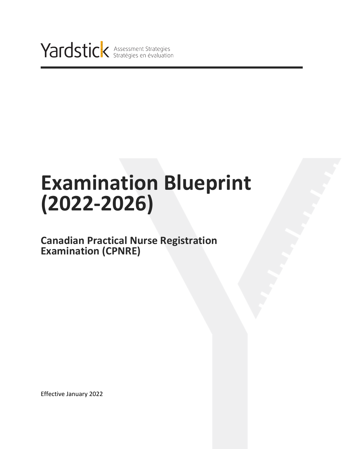

# **Examination Blueprint (2022-2026)**

### **Canadian Practical Nurse Registration Examination (CPNRE)**

Effective January 2022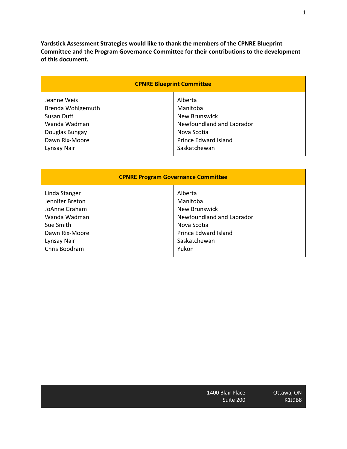**Yardstick Assessment Strategies would like to thank the members of the CPNRE Blueprint Committee and the Program Governance Committee for their contributions to the development of this document.**

| <b>CPNRE Blueprint Committee</b> |                           |  |  |
|----------------------------------|---------------------------|--|--|
| Jeanne Weis                      | Alberta                   |  |  |
| Brenda Wohlgemuth                | Manitoba                  |  |  |
| Susan Duff                       | <b>New Brunswick</b>      |  |  |
| Wanda Wadman                     | Newfoundland and Labrador |  |  |
| Douglas Bungay                   | Nova Scotia               |  |  |
| Dawn Rix-Moore                   | Prince Edward Island      |  |  |
| Lynsay Nair                      | Saskatchewan              |  |  |

| <b>CPNRE Program Governance Committee</b> |                           |  |  |
|-------------------------------------------|---------------------------|--|--|
| Linda Stanger                             | Alberta                   |  |  |
| Jennifer Breton                           | Manitoba                  |  |  |
| JoAnne Graham                             | New Brunswick             |  |  |
| Wanda Wadman                              | Newfoundland and Labrador |  |  |
| Sue Smith                                 | Nova Scotia               |  |  |
| Dawn Rix-Moore                            | Prince Edward Island      |  |  |
| Lynsay Nair                               | Saskatchewan              |  |  |
| Chris Boodram                             | Yukon                     |  |  |

| 1400 Blair Place |  |
|------------------|--|
| Suite 200        |  |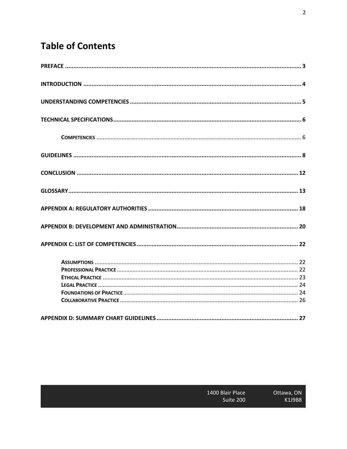## **Table of Contents**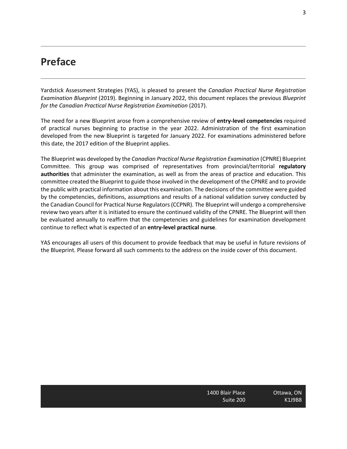### **Preface**

Yardstick Assessment Strategies (YAS), is pleased to present the *Canadian Practical Nurse Registration Examination Blueprint* (2019). Beginning in January 2022, this document replaces the previous *Blueprint for the Canadian Practical Nurse Registration Examination* (2017).

The need for a new Blueprint arose from a comprehensive review of **entry-level competencies** required of practical nurses beginning to practise in the year 2022. Administration of the first examination developed from the new Blueprint is targeted for January 2022. For examinations administered before this date, the 2017 edition of the Blueprint applies.

The Blueprint was developed by the *Canadian Practical Nurse Registration Examination* (CPNRE) Blueprint Committee. This group was comprised of representatives from provincial/territorial **regulatory authorities** that administer the examination, as well as from the areas of practice and education. This committee created the Blueprint to guide those involved in the development of the CPNRE and to provide the public with practical information about this examination. The decisions of the committee were guided by the competencies, definitions, assumptions and results of a national validation survey conducted by the Canadian Council for Practical Nurse Regulators (CCPNR). The Blueprint will undergo a comprehensive review two years after it is initiated to ensure the continued validity of the CPNRE. The Blueprint will then be evaluated annually to reaffirm that the competencies and guidelines for examination development continue to reflect what is expected of an **entry-level practical nurse**.

YAS encourages all users of this document to provide feedback that may be useful in future revisions of the Blueprint. Please forward all such comments to the address on the inside cover of this document.

1400 Blair Place Suite 200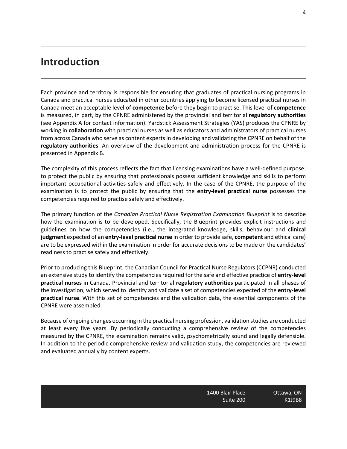### **Introduction**

Each province and territory is responsible for ensuring that graduates of practical nursing programs in Canada and practical nurses educated in other countries applying to become licensed practical nurses in Canada meet an acceptable level of **competence** before they begin to practise. This level of **competence** is measured, in part, by the CPNRE administered by the provincial and territorial **regulatory authorities** (see Appendix A for contact information). Yardstick Assessment Strategies (YAS) produces the CPNRE by working in **collaboration** with practical nurses as well as educators and administrators of practical nurses from across Canada who serve as content experts in developing and validating the CPNRE on behalf of the **regulatory authorities**. An overview of the development and administration process for the CPNRE is presented in Appendix B.

The complexity of this process reflects the fact that licensing examinations have a well-defined purpose: to protect the public by ensuring that professionals possess sufficient knowledge and skills to perform important occupational activities safely and effectively. In the case of the CPNRE, the purpose of the examination is to protect the public by ensuring that the **entry-level practical nurse** possesses the competencies required to practise safely and effectively.

The primary function of the *Canadian Practical Nurse Registration Examination Blueprint* is to describe how the examination is to be developed. Specifically, the Blueprint provides explicit instructions and guidelines on how the competencies (i.e., the integrated knowledge, skills, behaviour and **clinical judgment** expected of an **entry-level practical nurse** in order to provide safe, **competent** and ethical care) are to be expressed within the examination in order for accurate decisions to be made on the candidates' readiness to practise safely and effectively.

Prior to producing this Blueprint, the Canadian Council for Practical Nurse Regulators (CCPNR) conducted an extensive study to identify the competencies required for the safe and effective practice of **entry-level practical nurses** in Canada. Provincial and territorial **regulatory authorities** participated in all phases of the investigation, which served to identify and validate a set of competencies expected of the **entry-level practical nurse**. With this set of competencies and the validation data, the essential components of the CPNRE were assembled.

Because of ongoing changes occurring in the practical nursing profession, validation studies are conducted at least every five years. By periodically conducting a comprehensive review of the competencies measured by the CPNRE, the examination remains valid, psychometrically sound and legally defensible. In addition to the periodic comprehensive review and validation study, the competencies are reviewed and evaluated annually by content experts.

1400 Blair Place Suite 200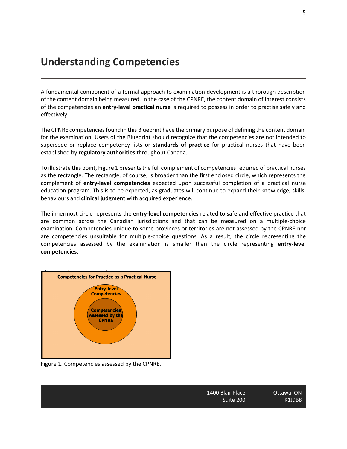### **Understanding Competencies**

A fundamental component of a formal approach to examination development is a thorough description of the content domain being measured. In the case of the CPNRE, the content domain of interest consists of the competencies an **entry-level practical nurse** is required to possess in order to practise safely and effectively.

The CPNRE competencies found in this Blueprint have the primary purpose of defining the content domain for the examination. Users of the Blueprint should recognize that the competencies are not intended to supersede or replace competency lists or **standards of practice** for practical nurses that have been established by **regulatory authorities** throughout Canada.

To illustrate this point, Figure 1 presents the full complement of competencies required of practical nurses as the rectangle. The rectangle, of course, is broader than the first enclosed circle, which represents the complement of **entry-level competencies** expected upon successful completion of a practical nurse education program. This is to be expected, as graduates will continue to expand their knowledge, skills, behaviours and **clinical judgment** with acquired experience.

The innermost circle represents the **entry-level competencies** related to safe and effective practice that are common across the Canadian jurisdictions and that can be measured on a multiple-choice examination. Competencies unique to some provinces or territories are not assessed by the CPNRE nor are competencies unsuitable for multiple-choice questions. As a result, the circle representing the competencies assessed by the examination is smaller than the circle representing **entry-level competencies.**



Figure 1. Competencies assessed by the CPNRE.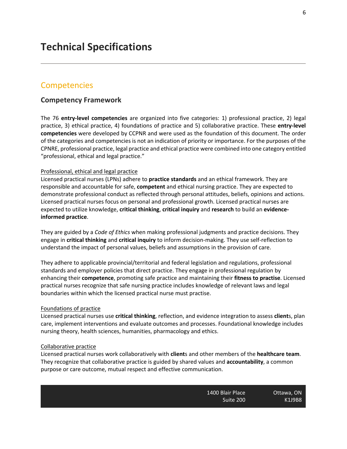#### **Competencies**

#### **Competency Framework**

The 76 **entry-level competencies** are organized into five categories: 1) professional practice, 2) legal practice, 3) ethical practice, 4) foundations of practice and 5) collaborative practice. These **entry-level competencies** were developed by CCPNR and were used as the foundation of this document. The order of the categories and competencies is not an indication of priority or importance. For the purposes of the CPNRE, professional practice, legal practice and ethical practice were combined into one category entitled "professional, ethical and legal practice."

#### Professional, ethical and legal practice

Licensed practical nurses (LPNs) adhere to **practice standards** and an ethical framework. They are responsible and accountable for safe, **competent** and ethical nursing practice. They are expected to demonstrate professional conduct as reflected through personal attitudes, beliefs, opinions and actions. Licensed practical nurses focus on personal and professional growth. Licensed practical nurses are expected to utilize knowledge, **critical thinking**, **critical inquiry** and **research** to build an **evidenceinformed practice**.

They are guided by a *Code of Ethics* when making professional judgments and practice decisions. They engage in **critical thinking** and **critical inquiry** to inform decision-making. They use self-reflection to understand the impact of personal values, beliefs and assumptions in the provision of care.

They adhere to applicable provincial/territorial and federal legislation and regulations, professional standards and employer policies that direct practice. They engage in professional regulation by enhancing their **competence**, promoting safe practice and maintaining their **fitness to practise**. Licensed practical nurses recognize that safe nursing practice includes knowledge of relevant laws and legal boundaries within which the licensed practical nurse must practise.

#### Foundations of practice

Licensed practical nurses use **critical thinking**, reflection, and evidence integration to assess **client**s, plan care, implement interventions and evaluate outcomes and processes. Foundational knowledge includes nursing theory, health sciences, humanities, pharmacology and ethics.

#### Collaborative practice

Licensed practical nurses work collaboratively with **client**s and other members of the **healthcare team**. They recognize that collaborative practice is guided by shared values and **accountability**, a common purpose or care outcome, mutual respect and effective communication.

| Ottawa, ON    | 1400 Blair Place |
|---------------|------------------|
| <b>K1J9B8</b> | Suite 200        |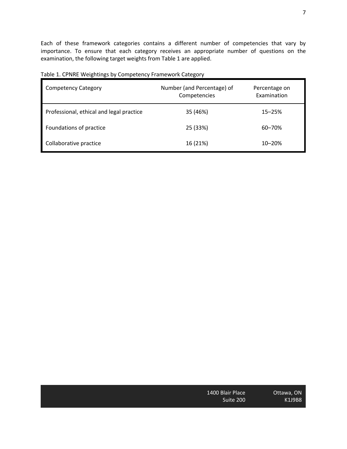Each of these framework categories contains a different number of competencies that vary by importance. To ensure that each category receives an appropriate number of questions on the examination, the following target weights from Table 1 are applied.

| <b>Competency Category</b>               | Number (and Percentage) of<br>Competencies | Percentage on<br>Examination |
|------------------------------------------|--------------------------------------------|------------------------------|
| Professional, ethical and legal practice | 35 (46%)                                   | $15 - 25%$                   |
| Foundations of practice                  | 25 (33%)                                   | 60-70%                       |
| Collaborative practice                   | 16 (21%)                                   | $10 - 20%$                   |

#### Table 1. CPNRE Weightings by Competency Framework Category

| 1400 Blair Place |  |
|------------------|--|
| Suite 200        |  |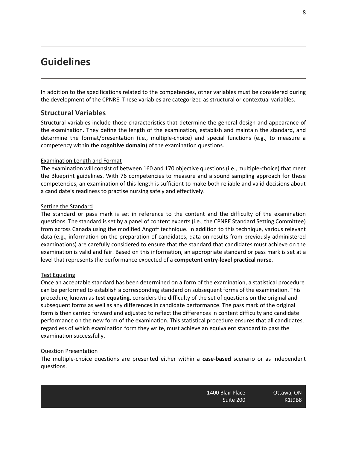### **Guidelines**

In addition to the specifications related to the competencies, other variables must be considered during the development of the CPNRE. These variables are categorized as structural or contextual variables.

#### **Structural Variables**

Structural variables include those characteristics that determine the general design and appearance of the examination. They define the length of the examination, establish and maintain the standard, and determine the format/presentation (i.e., multiple-choice) and special functions (e.g., to measure a competency within the **cognitive domain**) of the examination questions.

#### Examination Length and Format

The examination will consist of between 160 and 170 objective questions (i.e., multiple-choice) that meet the Blueprint guidelines. With 76 competencies to measure and a sound sampling approach for these competencies, an examination of this length is sufficient to make both reliable and valid decisions about a candidate's readiness to practise nursing safely and effectively.

#### Setting the Standard

The standard or pass mark is set in reference to the content and the difficulty of the examination questions. The standard is set by a panel of content experts (i.e., the CPNRE Standard Setting Committee) from across Canada using the modified Angoff technique. In addition to this technique, various relevant data (e.g., information on the preparation of candidates, data on results from previously administered examinations) are carefully considered to ensure that the standard that candidates must achieve on the examination is valid and fair. Based on this information, an appropriate standard or pass mark is set at a level that represents the performance expected of a **competent entry-level practical nurse**.

#### Test Equating

Once an acceptable standard has been determined on a form of the examination, a statistical procedure can be performed to establish a corresponding standard on subsequent forms of the examination. This procedure, known as **test equating**, considers the difficulty of the set of questions on the original and subsequent forms as well as any differences in candidate performance. The pass mark of the original form is then carried forward and adjusted to reflect the differences in content difficulty and candidate performance on the new form of the examination. This statistical procedure ensures that all candidates, regardless of which examination form they write, must achieve an equivalent standard to pass the examination successfully.

#### Question Presentation

The multiple-choice questions are presented either within a **case-based** scenario or as independent questions.

> 1400 Blair Place Suite 200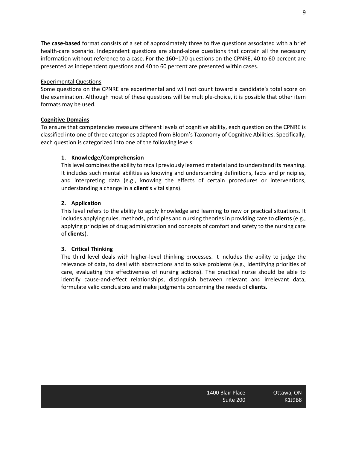The **case-based** format consists of a set of approximately three to five questions associated with a brief health-care scenario. Independent questions are stand-alone questions that contain all the necessary information without reference to a case. For the 160–170 questions on the CPNRE, 40 to 60 percent are presented as independent questions and 40 to 60 percent are presented within cases.

#### Experimental Questions

Some questions on the CPNRE are experimental and will not count toward a candidate's total score on the examination. Although most of these questions will be multiple-choice, it is possible that other item formats may be used.

#### **Cognitive Domains**

To ensure that competencies measure different levels of cognitive ability, each question on the CPNRE is classified into one of three categories adapted from Bloom's Taxonomy of Cognitive Abilities. Specifically, each question is categorized into one of the following levels:

#### **1. Knowledge/Comprehension**

This level combines the ability to recall previously learned material and to understand its meaning. It includes such mental abilities as knowing and understanding definitions, facts and principles, and interpreting data (e.g., knowing the effects of certain procedures or interventions, understanding a change in a **client**'s vital signs).

#### **2. Application**

This level refers to the ability to apply knowledge and learning to new or practical situations. It includes applying rules, methods, principles and nursing theories in providing care to **clients** (e.g., applying principles of drug administration and concepts of comfort and safety to the nursing care of **clients**).

#### **3. Critical Thinking**

The third level deals with higher-level thinking processes. It includes the ability to judge the relevance of data, to deal with abstractions and to solve problems (e.g., identifying priorities of care, evaluating the effectiveness of nursing actions). The practical nurse should be able to identify cause-and-effect relationships, distinguish between relevant and irrelevant data, formulate valid conclusions and make judgments concerning the needs of **clients**.

1400 Blair Place Suite 200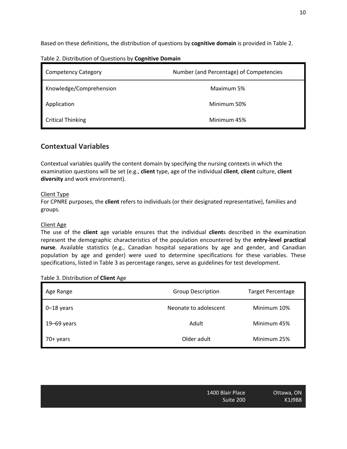Based on these definitions, the distribution of questions by **cognitive domain** is provided in Table 2.

| <b>Competency Category</b> | Number (and Percentage) of Competencies |
|----------------------------|-----------------------------------------|
| Knowledge/Comprehension    | Maximum 5%                              |
| Application                | Minimum 50%                             |
| <b>Critical Thinking</b>   | Minimum 45%                             |

Table 2. Distribution of Questions by **Cognitive Domain**

#### **Contextual Variables**

Contextual variables qualify the content domain by specifying the nursing contexts in which the examination questions will be set (e.g., **client** type, age of the individual **client**, **client** culture, **client diversity** and work environment).

#### Client Type

For CPNRE purposes, the **client** refers to individuals (or their designated representative), families and groups.

#### Client Age

The use of the **client** age variable ensures that the individual **client**s described in the examination represent the demographic characteristics of the population encountered by the **entry-level practical nurse**. Available statistics (e.g., Canadian hospital separations by age and gender, and Canadian population by age and gender) were used to determine specifications for these variables. These specifications, listed in Table 3 as percentage ranges, serve as guidelines for test development.

|  |  | Table 3. Distribution of Client Age |
|--|--|-------------------------------------|
|--|--|-------------------------------------|

| Age Range       | <b>Group Description</b> | Target Percentage |
|-----------------|--------------------------|-------------------|
| $0 - 18$ years  | Neonate to adolescent    | Minimum 10%       |
| $19 - 69$ years | Adult                    | Minimum 45%       |
| 70+ years       | Older adult              | Minimum 25%       |

| 1400 Blair Place |  |
|------------------|--|
| Suite 200        |  |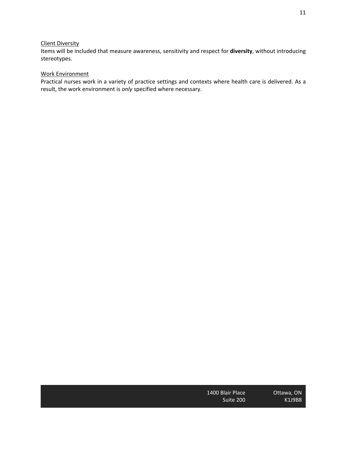#### Client Diversity

Items will be included that measure awareness, sensitivity and respect for **diversity**, without introducing stereotypes.

#### Work Environment

Practical nurses work in a variety of practice settings and contexts where health care is delivered. As a result, the work environment is *only* specified where necessary.

| 1400 Blair Place |  |
|------------------|--|
| Suite 200        |  |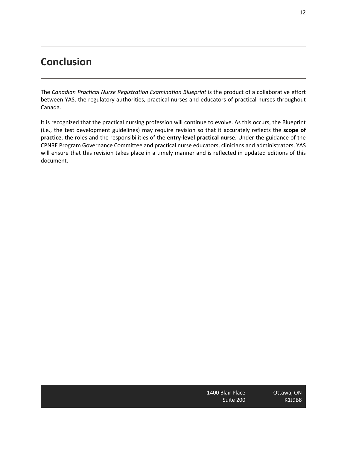### **Conclusion**

The *Canadian Practical Nurse Registration Examination Blueprint* is the product of a collaborative effort between YAS, the regulatory authorities, practical nurses and educators of practical nurses throughout Canada.

It is recognized that the practical nursing profession will continue to evolve. As this occurs, the Blueprint (i.e., the test development guidelines) may require revision so that it accurately reflects the **scope of practice**, the roles and the responsibilities of the **entry-level practical nurse**. Under the guidance of the CPNRE Program Governance Committee and practical nurse educators, clinicians and administrators, YAS will ensure that this revision takes place in a timely manner and is reflected in updated editions of this document.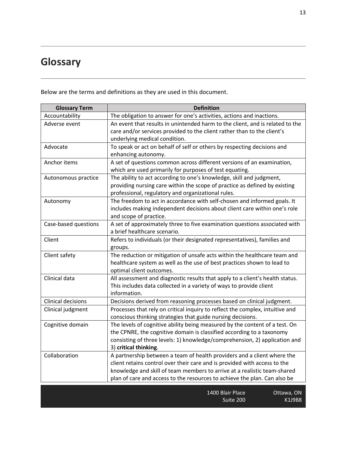# **Glossary**

Below are the terms and definitions as they are used in this document.

| <b>Glossary Term</b> | <b>Definition</b>                                                             |
|----------------------|-------------------------------------------------------------------------------|
| Accountability       | The obligation to answer for one's activities, actions and inactions.         |
| Adverse event        | An event that results in unintended harm to the client, and is related to the |
|                      | care and/or services provided to the client rather than to the client's       |
|                      | underlying medical condition.                                                 |
| Advocate             | To speak or act on behalf of self or others by respecting decisions and       |
|                      | enhancing autonomy.                                                           |
| Anchor items         | A set of questions common across different versions of an examination,        |
|                      | which are used primarily for purposes of test equating.                       |
| Autonomous practice  | The ability to act according to one's knowledge, skill and judgment,          |
|                      | providing nursing care within the scope of practice as defined by existing    |
|                      | professional, regulatory and organizational rules.                            |
| Autonomy             | The freedom to act in accordance with self-chosen and informed goals. It      |
|                      | includes making independent decisions about client care within one's role     |
|                      | and scope of practice.                                                        |
| Case-based questions | A set of approximately three to five examination questions associated with    |
|                      | a brief healthcare scenario.                                                  |
| Client               | Refers to individuals (or their designated representatives), families and     |
|                      | groups.                                                                       |
| Client safety        | The reduction or mitigation of unsafe acts within the healthcare team and     |
|                      | healthcare system as well as the use of best practices shown to lead to       |
|                      | optimal client outcomes.                                                      |
| Clinical data        | All assessment and diagnostic results that apply to a client's health status. |
|                      | This includes data collected in a variety of ways to provide client           |
|                      | information.                                                                  |
| Clinical decisions   | Decisions derived from reasoning processes based on clinical judgment.        |
| Clinical judgment    | Processes that rely on critical inquiry to reflect the complex, intuitive and |
|                      | conscious thinking strategies that guide nursing decisions.                   |
| Cognitive domain     | The levels of cognitive ability being measured by the content of a test. On   |
|                      | the CPNRE, the cognitive domain is classified according to a taxonomy         |
|                      | consisting of three levels: 1) knowledge/comprehension, 2) application and    |
|                      | 3) critical thinking.                                                         |
| Collaboration        | A partnership between a team of health providers and a client where the       |
|                      | client retains control over their care and is provided with access to the     |
|                      | knowledge and skill of team members to arrive at a realistic team-shared      |
|                      | plan of care and access to the resources to achieve the plan. Can also be     |
|                      |                                                                               |

| Ottawa, ON | 1400 Blair Place |
|------------|------------------|
| K1J9B8     | Suite 200        |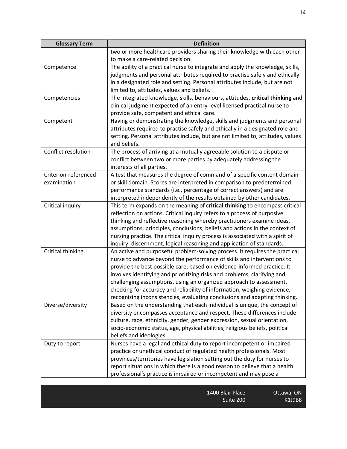| <b>Glossary Term</b> | <b>Definition</b>                                                                                                                                 |
|----------------------|---------------------------------------------------------------------------------------------------------------------------------------------------|
|                      | two or more healthcare providers sharing their knowledge with each other                                                                          |
|                      | to make a care-related decision.                                                                                                                  |
| Competence           | The ability of a practical nurse to integrate and apply the knowledge, skills,                                                                    |
|                      | judgments and personal attributes required to practise safely and ethically                                                                       |
|                      | in a designated role and setting. Personal attributes include, but are not                                                                        |
|                      | limited to, attitudes, values and beliefs.                                                                                                        |
| Competencies         | The integrated knowledge, skills, behaviours, attitudes, critical thinking and                                                                    |
|                      | clinical judgment expected of an entry-level licensed practical nurse to                                                                          |
|                      | provide safe, competent and ethical care.                                                                                                         |
| Competent            | Having or demonstrating the knowledge, skills and judgments and personal                                                                          |
|                      | attributes required to practise safely and ethically in a designated role and                                                                     |
|                      | setting. Personal attributes include, but are not limited to, attitudes, values                                                                   |
|                      | and beliefs.                                                                                                                                      |
| Conflict resolution  | The process of arriving at a mutually agreeable solution to a dispute or                                                                          |
|                      | conflict between two or more parties by adequately addressing the                                                                                 |
|                      | interests of all parties.                                                                                                                         |
| Criterion-referenced | A test that measures the degree of command of a specific content domain                                                                           |
| examination          | or skill domain. Scores are interpreted in comparison to predetermined                                                                            |
|                      | performance standards (i.e., percentage of correct answers) and are                                                                               |
|                      | interpreted independently of the results obtained by other candidates.                                                                            |
| Critical inquiry     | This term expands on the meaning of critical thinking to encompass critical                                                                       |
|                      | reflection on actions. Critical inquiry refers to a process of purposive                                                                          |
|                      | thinking and reflective reasoning whereby practitioners examine ideas,                                                                            |
|                      | assumptions, principles, conclusions, beliefs and actions in the context of                                                                       |
|                      | nursing practice. The critical inquiry process is associated with a spirit of                                                                     |
|                      | inquiry, discernment, logical reasoning and application of standards.                                                                             |
| Critical thinking    | An active and purposeful problem-solving process. It requires the practical                                                                       |
|                      | nurse to advance beyond the performance of skills and interventions to<br>provide the best possible care, based on evidence-informed practice. It |
|                      |                                                                                                                                                   |
|                      | involves identifying and prioritizing risks and problems, clarifying and<br>challenging assumptions, using an organized approach to assessment,   |
|                      | checking for accuracy and reliability of information, weighing evidence,                                                                          |
|                      | recognizing inconsistencies, evaluating conclusions and adapting thinking.                                                                        |
| Diverse/diversity    | Based on the understanding that each individual is unique, the concept of                                                                         |
|                      | diversity encompasses acceptance and respect. These differences include                                                                           |
|                      | culture, race, ethnicity, gender, gender expression, sexual orientation,                                                                          |
|                      | socio-economic status, age, physical abilities, religious beliefs, political                                                                      |
|                      | beliefs and ideologies.                                                                                                                           |
| Duty to report       | Nurses have a legal and ethical duty to report incompetent or impaired                                                                            |
|                      | practice or unethical conduct of regulated health professionals. Most                                                                             |
|                      | provinces/territories have legislation setting out the duty for nurses to                                                                         |
|                      | report situations in which there is a good reason to believe that a health                                                                        |
|                      | professional's practice is impaired or incompetent and may pose a                                                                                 |
|                      |                                                                                                                                                   |

K1J9B8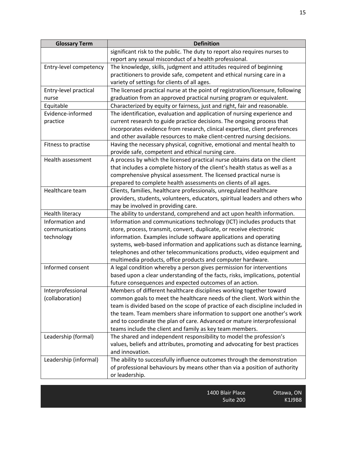| <b>Glossary Term</b>   | <b>Definition</b>                                                              |
|------------------------|--------------------------------------------------------------------------------|
|                        | significant risk to the public. The duty to report also requires nurses to     |
|                        | report any sexual misconduct of a health professional.                         |
| Entry-level competency | The knowledge, skills, judgment and attitudes required of beginning            |
|                        | practitioners to provide safe, competent and ethical nursing care in a         |
|                        | variety of settings for clients of all ages.                                   |
| Entry-level practical  | The licensed practical nurse at the point of registration/licensure, following |
| nurse                  | graduation from an approved practical nursing program or equivalent.           |
| Equitable              | Characterized by equity or fairness, just and right, fair and reasonable.      |
| Evidence-informed      | The identification, evaluation and application of nursing experience and       |
| practice               | current research to guide practice decisions. The ongoing process that         |
|                        | incorporates evidence from research, clinical expertise, client preferences    |
|                        | and other available resources to make client-centred nursing decisions.        |
| Fitness to practise    | Having the necessary physical, cognitive, emotional and mental health to       |
|                        | provide safe, competent and ethical nursing care.                              |
| Health assessment      | A process by which the licensed practical nurse obtains data on the client     |
|                        | that includes a complete history of the client's health status as well as a    |
|                        | comprehensive physical assessment. The licensed practical nurse is             |
|                        | prepared to complete health assessments on clients of all ages.                |
| Healthcare team        | Clients, families, healthcare professionals, unregulated healthcare            |
|                        | providers, students, volunteers, educators, spiritual leaders and others who   |
|                        | may be involved in providing care.                                             |
| <b>Health literacy</b> | The ability to understand, comprehend and act upon health information.         |
| Information and        | Information and communications technology (ICT) includes products that         |
| communications         | store, process, transmit, convert, duplicate, or receive electronic            |
| technology             | information. Examples include software applications and operating              |
|                        | systems, web-based information and applications such as distance learning,     |
|                        | telephones and other telecommunications products, video equipment and          |
|                        | multimedia products, office products and computer hardware.                    |
| Informed consent       | A legal condition whereby a person gives permission for interventions          |
|                        | based upon a clear understanding of the facts, risks, implications, potential  |
|                        | future consequences and expected outcomes of an action.                        |
| Interprofessional      | Members of different healthcare disciplines working together toward            |
| (collaboration)        | common goals to meet the healthcare needs of the client. Work within the       |
|                        | team is divided based on the scope of practice of each discipline included in  |
|                        | the team. Team members share information to support one another's work         |
|                        | and to coordinate the plan of care. Advanced or mature interprofessional       |
|                        | teams include the client and family as key team members.                       |
| Leadership (formal)    | The shared and independent responsibility to model the profession's            |
|                        | values, beliefs and attributes, promoting and advocating for best practices    |
|                        | and innovation.                                                                |
| Leadership (informal)  | The ability to successfully influence outcomes through the demonstration       |
|                        | of professional behaviours by means other than via a position of authority     |
|                        | or leadership.                                                                 |

| 1400 Blair Place | Ottawa, ON |
|------------------|------------|
| Suite 200        | K1J9B8     |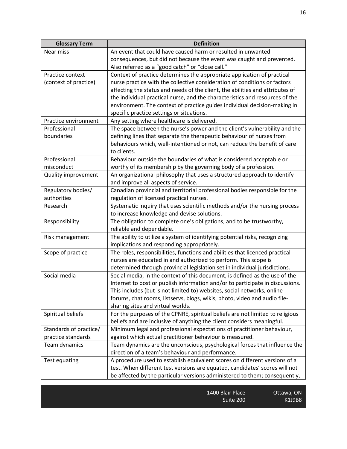| <b>Glossary Term</b>   | <b>Definition</b>                                                                                                                                    |
|------------------------|------------------------------------------------------------------------------------------------------------------------------------------------------|
| Near miss              | An event that could have caused harm or resulted in unwanted                                                                                         |
|                        | consequences, but did not because the event was caught and prevented.                                                                                |
|                        | Also referred as a "good catch" or "close call."                                                                                                     |
| Practice context       | Context of practice determines the appropriate application of practical                                                                              |
| (context of practice)  | nurse practice with the collective consideration of conditions or factors                                                                            |
|                        | affecting the status and needs of the client, the abilities and attributes of                                                                        |
|                        | the individual practical nurse, and the characteristics and resources of the                                                                         |
|                        | environment. The context of practice guides individual decision-making in                                                                            |
|                        | specific practice settings or situations.                                                                                                            |
| Practice environment   | Any setting where healthcare is delivered.                                                                                                           |
| Professional           | The space between the nurse's power and the client's vulnerability and the                                                                           |
| boundaries             | defining lines that separate the therapeutic behaviour of nurses from                                                                                |
|                        | behaviours which, well-intentioned or not, can reduce the benefit of care                                                                            |
|                        | to clients.                                                                                                                                          |
| Professional           | Behaviour outside the boundaries of what is considered acceptable or                                                                                 |
| misconduct             | worthy of its membership by the governing body of a profession.                                                                                      |
| Quality improvement    | An organizational philosophy that uses a structured approach to identify                                                                             |
|                        | and improve all aspects of service.                                                                                                                  |
| Regulatory bodies/     | Canadian provincial and territorial professional bodies responsible for the                                                                          |
| authorities            | regulation of licensed practical nurses.                                                                                                             |
| Research               | Systematic inquiry that uses scientific methods and/or the nursing process                                                                           |
|                        | to increase knowledge and devise solutions.                                                                                                          |
| Responsibility         | The obligation to complete one's obligations, and to be trustworthy,                                                                                 |
|                        | reliable and dependable.                                                                                                                             |
| Risk management        | The ability to utilize a system of identifying potential risks, recognizing                                                                          |
|                        | implications and responding appropriately.                                                                                                           |
| Scope of practice      | The roles, responsibilities, functions and abilities that licenced practical                                                                         |
|                        | nurses are educated in and authorized to perform. This scope is                                                                                      |
|                        | determined through provincial legislation set in individual jurisdictions.                                                                           |
| Social media           | Social media, in the context of this document, is defined as the use of the                                                                          |
|                        | Internet to post or publish information and/or to participate in discussions.                                                                        |
|                        | This includes (but is not limited to) websites, social networks, online<br>forums, chat rooms, listservs, blogs, wikis, photo, video and audio file- |
|                        | sharing sites and virtual worlds.                                                                                                                    |
| Spiritual beliefs      | For the purposes of the CPNRE, spiritual beliefs are not limited to religious                                                                        |
|                        | beliefs and are inclusive of anything the client considers meaningful.                                                                               |
| Standards of practice/ | Minimum legal and professional expectations of practitioner behaviour,                                                                               |
| practice standards     | against which actual practitioner behaviour is measured.                                                                                             |
| Team dynamics          | Team dynamics are the unconscious, psychological forces that influence the                                                                           |
|                        | direction of a team's behaviour and performance.                                                                                                     |
| <b>Test equating</b>   | A procedure used to establish equivalent scores on different versions of a                                                                           |
|                        | test. When different test versions are equated, candidates' scores will not                                                                          |
|                        | be affected by the particular versions administered to them; consequently,                                                                           |
|                        |                                                                                                                                                      |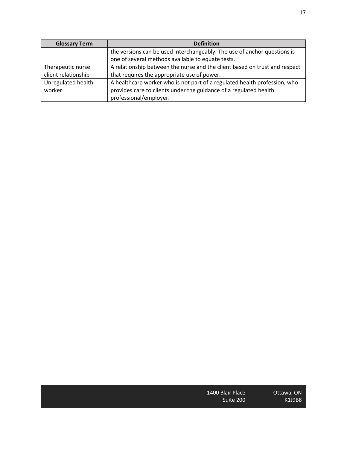| ۰. |  |
|----|--|
|    |  |

| <b>Glossary Term</b> | <b>Definition</b>                                                          |
|----------------------|----------------------------------------------------------------------------|
|                      | the versions can be used interchangeably. The use of anchor questions is   |
|                      | one of several methods available to equate tests.                          |
| Therapeutic nurse-   | A relationship between the nurse and the client based on trust and respect |
| client relationship  | that requires the appropriate use of power.                                |
| Unregulated health   | A healthcare worker who is not part of a regulated health profession, who  |
| worker               | provides care to clients under the guidance of a regulated health          |
|                      | professional/employer.                                                     |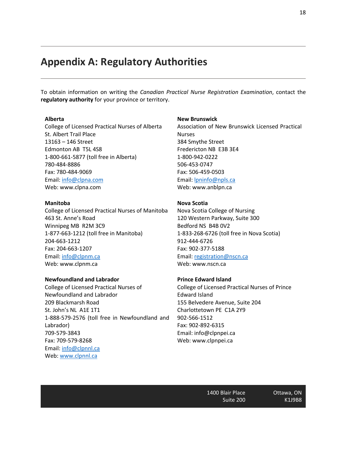### **Appendix A: Regulatory Authorities**

To obtain information on writing the *Canadian Practical Nurse Registration Examination*, contact the **regulatory authority** for your province or territory.

#### **Alberta**

College of Licensed Practical Nurses of Alberta St. Albert Trail Place 13163 – 146 Street Edmonton AB T5L 4S8 1-800-661-5877 (toll free in Alberta) 780-484-8886 Fax: 780-484-9069 Email: info@clpna.com Web: www.clpna.com

#### **Manitoba**

College of Licensed Practical Nurses of Manitoba 463 St. Anne's Road Winnipeg MB R2M 3C9 1-877-663-1212 (toll free in Manitoba) 204-663-1212 Fax: 204-663-1207 Email: info@clpnm.ca Web: www.clpnm.ca

#### **Newfoundland and Labrador**

College of Licensed Practical Nurses of Newfoundland and Labrador 209 Blackmarsh Road St. John's NL A1E 1T1 1-888-579-2576 (toll free in Newfoundland and Labrador) 709-579-3843 Fax: 709-579-8268 Email: info@clpnnl.ca Web: www.clpnnl.ca

#### **New Brunswick**

Association of New Brunswick Licensed Practical Nurses 384 Smythe Street Fredericton NB E3B 3E4 1-800-942-0222 506-453-0747 Fax: 506-459-0503 Email: lpninfo@npls.ca Web: www.anblpn.ca

#### **Nova Scotia**

Nova Scotia College of Nursing 120 Western Parkway, Suite 300 Bedford NS B4B 0V2 1-833-268-6726 (toll free in Nova Scotia) 912-444-6726 Fax: 902-377-5188 Email: registration@nscn.ca Web: www.nscn.ca

#### **Prince Edward Island**

College of Licensed Practical Nurses of Prince Edward Island 155 Belvedere Avenue, Suite 204 Charlottetown PE C1A 2Y9 902-566-1512 Fax: 902-892-6315 Email: info@clpnpei.ca Web: www.clpnpei.ca

> 1400 Blair Place Suite 200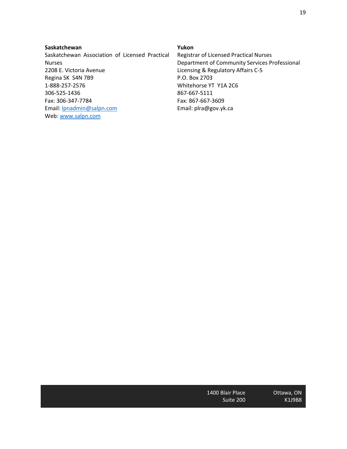#### **Saskatchewan**

Saskatchewan Association of Licensed Practical Nurses 2208 E. Victoria Avenue Regina SK S4N 7B9 1-888-257-2576 306-525-1436 Fax: 306-347-7784 Email: lpnadmin@salpn.com Web: www.salpn.com

#### **Yukon**

Registrar of Licensed Practical Nurses Department of Community Services Professional Licensing & Regulatory Affairs C-5 P.O. Box 2703 Whitehorse YT Y1A 2C6 867-667-5111 Fax: 867-667-3609 Email: plra@gov.yk.ca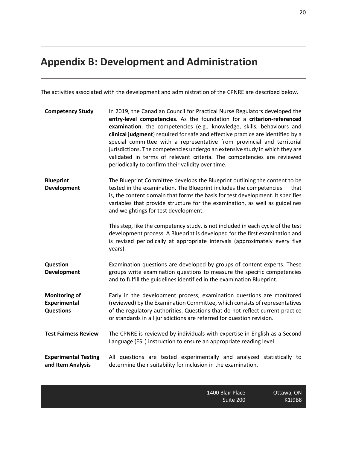# **Appendix B: Development and Administration**

The activities associated with the development and administration of the CPNRE are described below.

| <b>Competency Study</b>                                         | In 2019, the Canadian Council for Practical Nurse Regulators developed the<br>entry-level competencies. As the foundation for a criterion-referenced<br>examination, the competencies (e.g., knowledge, skills, behaviours and<br>clinical judgment) required for safe and effective practice are identified by a<br>special committee with a representative from provincial and territorial<br>jurisdictions. The competencies undergo an extensive study in which they are<br>validated in terms of relevant criteria. The competencies are reviewed<br>periodically to confirm their validity over time. |
|-----------------------------------------------------------------|-------------------------------------------------------------------------------------------------------------------------------------------------------------------------------------------------------------------------------------------------------------------------------------------------------------------------------------------------------------------------------------------------------------------------------------------------------------------------------------------------------------------------------------------------------------------------------------------------------------|
| <b>Blueprint</b><br>Development                                 | The Blueprint Committee develops the Blueprint outlining the content to be<br>tested in the examination. The Blueprint includes the competencies $-$ that<br>is, the content domain that forms the basis for test development. It specifies<br>variables that provide structure for the examination, as well as guidelines<br>and weightings for test development.                                                                                                                                                                                                                                          |
|                                                                 | This step, like the competency study, is not included in each cycle of the test<br>development process. A Blueprint is developed for the first examination and<br>is revised periodically at appropriate intervals (approximately every five<br>years).                                                                                                                                                                                                                                                                                                                                                     |
| <b>Question</b><br><b>Development</b>                           | Examination questions are developed by groups of content experts. These<br>groups write examination questions to measure the specific competencies<br>and to fulfill the guidelines identified in the examination Blueprint.                                                                                                                                                                                                                                                                                                                                                                                |
| <b>Monitoring of</b><br><b>Experimental</b><br><b>Questions</b> | Early in the development process, examination questions are monitored<br>(reviewed) by the Examination Committee, which consists of representatives<br>of the regulatory authorities. Questions that do not reflect current practice<br>or standards in all jurisdictions are referred for question revision.                                                                                                                                                                                                                                                                                               |
| <b>Test Fairness Review</b>                                     | The CPNRE is reviewed by individuals with expertise in English as a Second<br>Language (ESL) instruction to ensure an appropriate reading level.                                                                                                                                                                                                                                                                                                                                                                                                                                                            |
| <b>Experimental Testing</b><br>and Item Analysis                | All questions are tested experimentally and analyzed statistically to<br>determine their suitability for inclusion in the examination.                                                                                                                                                                                                                                                                                                                                                                                                                                                                      |

| 1400 Blair Place | Ottawa, ON |
|------------------|------------|
| Suite 200        | K1J9B8     |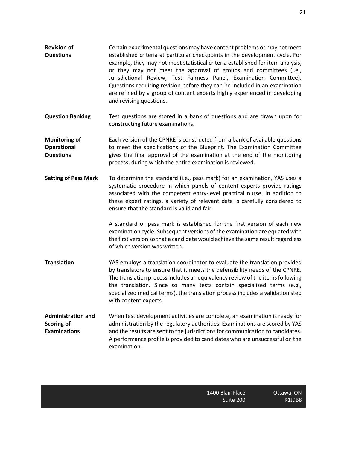**Questions** established criteria at particular checkpoints in the development cycle. For example, they may not meet statistical criteria established for item analysis, or they may not meet the approval of groups and committees (i.e., Jurisdictional Review, Test Fairness Panel, Examination Committee). Questions requiring revision before they can be included in an examination are refined by a group of content experts highly experienced in developing and revising questions.

**Revision of** 

**Question Banking** Test questions are stored in a bank of questions and are drawn upon for constructing future examinations.

**Monitoring of Operational Questions** Each version of the CPNRE is constructed from a bank of available questions to meet the specifications of the Blueprint. The Examination Committee gives the final approval of the examination at the end of the monitoring process, during which the entire examination is reviewed.

**Setting of Pass Mark** To determine the standard (i.e., pass mark) for an examination, YAS uses a systematic procedure in which panels of content experts provide ratings associated with the competent entry-level practical nurse. In addition to these expert ratings, a variety of relevant data is carefully considered to ensure that the standard is valid and fair.

> A standard or pass mark is established for the first version of each new examination cycle. Subsequent versions of the examination are equated with the first version so that a candidate would achieve the same result regardless of which version was written.

- **Translation** YAS employs a translation coordinator to evaluate the translation provided by translators to ensure that it meets the defensibility needs of the CPNRE. The translation process includes an equivalency review of the items following the translation. Since so many tests contain specialized terms (e.g., specialized medical terms), the translation process includes a validation step with content experts.
- **Administration and Scoring of Examinations** When test development activities are complete, an examination is ready for administration by the regulatory authorities. Examinations are scored by YAS and the results are sent to the jurisdictions for communication to candidates. A performance profile is provided to candidates who are unsuccessful on the examination.

K1J9B8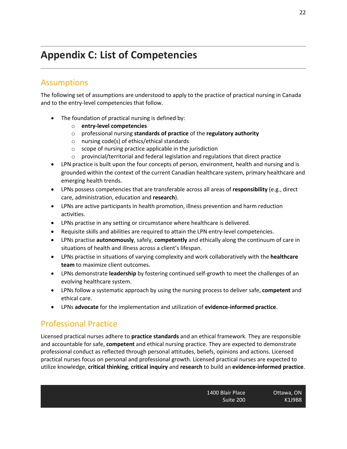# **Appendix C: List of Competencies**

### Assumptions

The following set of assumptions are understood to apply to the practice of practical nursing in Canada and to the entry-level competencies that follow.

- The foundation of practical nursing is defined by:
	- o **entry-level competencies**
	- o professional nursing **standards of practice** of the **regulatory authority**
	- o nursing code(s) of ethics/ethical standards
	- o scope of nursing practice applicable in the jurisdiction
	- o provincial/territorial and federal legislation and regulations that direct practice
- LPN practice is built upon the four concepts of person, environment, health and nursing and is grounded within the context of the current Canadian healthcare system, primary healthcare and emerging health trends.
- LPNs possess competencies that are transferable across all areas of **responsibility** (e.g., direct care, administration, education and **research**).
- LPNs are active participants in health promotion, illness prevention and harm reduction activities.
- LPNs practise in any setting or circumstance where healthcare is delivered.
- Requisite skills and abilities are required to attain the LPN entry-level competencies.
- LPNs practise **autonomously**, safely, **competently** and ethically along the continuum of care in situations of health and illness across a client's lifespan.
- LPNs practise in situations of varying complexity and work collaboratively with the **healthcare team** to maximize client outcomes.
- LPNs demonstrate **leadership** by fostering continued self-growth to meet the challenges of an evolving healthcare system.
- LPNs follow a systematic approach by using the nursing process to deliver safe, **competent** and ethical care.
- LPNs **advocate** for the implementation and utilization of **evidence-informed practice**.

### Professional Practice

Licensed practical nurses adhere to **practice standards** and an ethical framework. They are responsible and accountable for safe, **competent** and ethical nursing practice. They are expected to demonstrate professional conduct as reflected through personal attitudes, beliefs, opinions and actions. Licensed practical nurses focus on personal and professional growth. Licensed practical nurses are expected to utilize knowledge, **critical thinking**, **critical inquiry** and **research** to build an **evidence-informed practice**.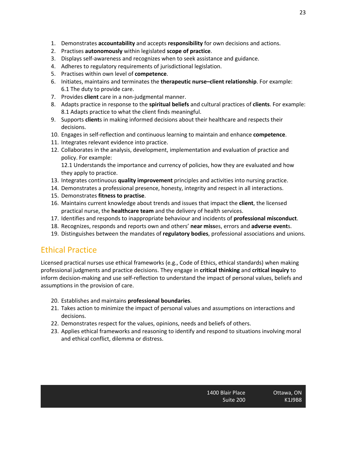- 1. Demonstrates **accountability** and accepts **responsibility** for own decisions and actions.
- 2. Practises **autonomously** within legislated **scope of practice**.
- 3. Displays self-awareness and recognizes when to seek assistance and guidance.
- 4. Adheres to regulatory requirements of jurisdictional legislation.
- 5. Practises within own level of **competence**.
- 6. Initiates, maintains and terminates the **therapeutic nurse–client relationship**. For example: 6.1 The duty to provide care.
- 7. Provides **client** care in a non-judgmental manner.
- 8. Adapts practice in response to the **spiritual beliefs** and cultural practices of **clients**. For example: 8.1 Adapts practice to what the client finds meaningful.
- 9. Supports **client**s in making informed decisions about their healthcare and respects their decisions.
- 10. Engages in self-reflection and continuous learning to maintain and enhance **competence**.
- 11. Integrates relevant evidence into practice.
- 12. Collaborates in the analysis, development, implementation and evaluation of practice and policy. For example:

12.1 Understands the importance and currency of policies, how they are evaluated and how they apply to practice.

- 13. Integrates continuous **quality improvement** principles and activities into nursing practice.
- 14. Demonstrates a professional presence, honesty, integrity and respect in all interactions.
- 15. Demonstrates **fitness to practise**.
- 16. Maintains current knowledge about trends and issues that impact the **client**, the licensed practical nurse, the **healthcare team** and the delivery of health services.
- 17. Identifies and responds to inappropriate behaviour and incidents of **professional misconduct**.
- 18. Recognizes, responds and reports own and others' **near miss**es, errors and **adverse event**s.
- 19. Distinguishes between the mandates of **regulatory bodies**, professional associations and unions.

### Ethical Practice

Licensed practical nurses use ethical frameworks (e.g., Code of Ethics, ethical standards) when making professional judgments and practice decisions. They engage in **critical thinking** and **critical inquiry** to inform decision-making and use self-reflection to understand the impact of personal values, beliefs and assumptions in the provision of care.

- 20. Establishes and maintains **professional boundaries**.
- 21. Takes action to minimize the impact of personal values and assumptions on interactions and decisions.
- 22. Demonstrates respect for the values, opinions, needs and beliefs of others.
- 23. Applies ethical frameworks and reasoning to identify and respond to situations involving moral and ethical conflict, dilemma or distress.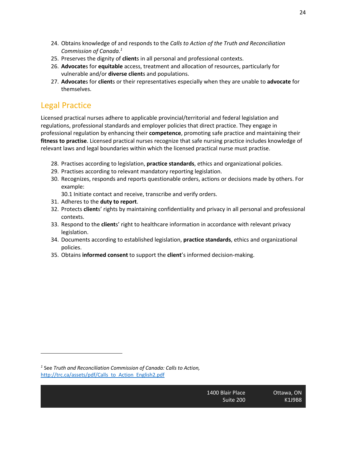- 24. Obtains knowledge of and responds to the *Calls to Action of the Truth and Reconciliation Commission of Canada. 1*
- 25. Preserves the dignity of **client**s in all personal and professional contexts.
- 26. **Advocate**s for **equitable** access, treatment and allocation of resources, particularly for vulnerable and/or **diverse client**s and populations.
- 27. **Advocate**s for **client**s or their representatives especially when they are unable to **advocate** for themselves.

### Legal Practice

Licensed practical nurses adhere to applicable provincial/territorial and federal legislation and regulations, professional standards and employer policies that direct practice. They engage in professional regulation by enhancing their **competence**, promoting safe practice and maintaining their **fitness to practise**. Licensed practical nurses recognize that safe nursing practice includes knowledge of relevant laws and legal boundaries within which the licensed practical nurse must practise.

- 28. Practises according to legislation, **practice standards**, ethics and organizational policies.
- 29. Practises according to relevant mandatory reporting legislation.
- 30. Recognizes, responds and reports questionable orders, actions or decisions made by others. For example:

30.1 Initiate contact and receive, transcribe and verify orders.

- 31. Adheres to the **duty to report**.
- 32. Protects **client**s' rights by maintaining confidentiality and privacy in all personal and professional contexts.
- 33. Respond to the **client**s' right to healthcare information in accordance with relevant privacy legislation.
- 34. Documents according to established legislation, **practice standards**, ethics and organizational policies.
- 35. Obtains **informed consent** to support the **client**'s informed decision-making.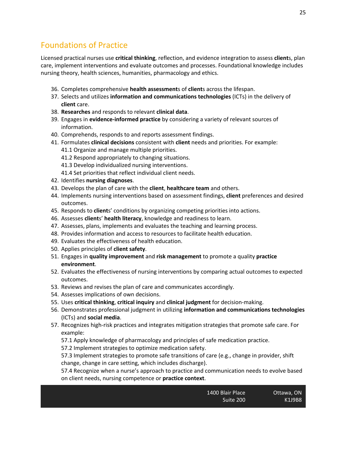### Foundations of Practice

Licensed practical nurses use **critical thinking**, reflection, and evidence integration to assess **client**s, plan care, implement interventions and evaluate outcomes and processes. Foundational knowledge includes nursing theory, health sciences, humanities, pharmacology and ethics.

- 36. Completes comprehensive **health assessment**s of **client**s across the lifespan.
- 37. Selects and utilizes **information and communications technologies** (ICTs) in the delivery of **client** care.
- 38. **Researches** and responds to relevant **clinical data**.
- 39. Engages in **evidence-informed practice** by considering a variety of relevant sources of information.
- 40. Comprehends, responds to and reports assessment findings.
- 41. Formulates **clinical decisions** consistent with **client** needs and priorities. For example: 41.1 Organize and manage multiple priorities.
	- 41.2 Respond appropriately to changing situations.
	- 41.3 Develop individualized nursing interventions.
	- 41.4 Set priorities that reflect individual client needs.
- 42. Identifies **nursing diagnoses**.
- 43. Develops the plan of care with the **client**, **healthcare team** and others.
- 44. Implements nursing interventions based on assessment findings, **client** preferences and desired outcomes.
- 45. Responds to **client**s' conditions by organizing competing priorities into actions.
- 46. Assesses **client**s' **health literacy**, knowledge and readiness to learn.
- 47. Assesses, plans, implements and evaluates the teaching and learning process.
- 48. Provides information and access to resources to facilitate health education.
- 49. Evaluates the effectiveness of health education.
- 50. Applies principles of **client safety**.
- 51. Engages in **quality improvement** and **risk management** to promote a quality **practice environment**.
- 52. Evaluates the effectiveness of nursing interventions by comparing actual outcomes to expected outcomes.
- 53. Reviews and revises the plan of care and communicates accordingly.
- 54. Assesses implications of own decisions.
- 55. Uses **critical thinking**, **critical inquiry** and **clinical judgment** for decision-making.
- 56. Demonstrates professional judgment in utilizing **information and communications technologies** (ICTs) and **social media**.
- 57. Recognizes high-risk practices and integrates mitigation strategies that promote safe care. For example:
	- 57.1 Apply knowledge of pharmacology and principles of safe medication practice.
	- 57.2 Implement strategies to optimize medication safety.

57.3 Implement strategies to promote safe transitions of care (e.g., change in provider, shift change, change in care setting, which includes discharge).

57.4 Recognize when a nurse's approach to practice and communication needs to evolve based on client needs, nursing competence or **practice context**.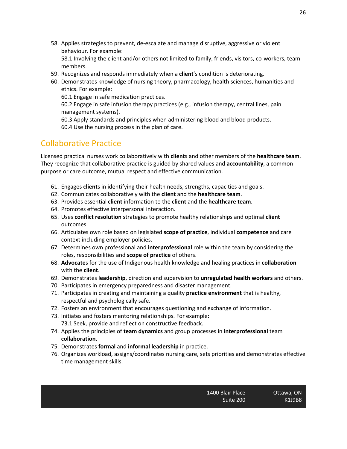58. Applies strategies to prevent, de-escalate and manage disruptive, aggressive or violent behaviour. For example:

58.1 Involving the client and/or others not limited to family, friends, visitors, co-workers, team members.

- 59. Recognizes and responds immediately when a **client**'s condition is deteriorating.
- 60. Demonstrates knowledge of nursing theory, pharmacology, health sciences, humanities and ethics. For example:

60.1 Engage in safe medication practices.

60.2 Engage in safe infusion therapy practices (e.g., infusion therapy, central lines, pain management systems).

60.3 Apply standards and principles when administering blood and blood products. 60.4 Use the nursing process in the plan of care.

### Collaborative Practice

Licensed practical nurses work collaboratively with **client**s and other members of the **healthcare team**. They recognize that collaborative practice is guided by shared values and **accountability**, a common purpose or care outcome, mutual respect and effective communication.

- 61. Engages **client**s in identifying their health needs, strengths, capacities and goals.
- 62. Communicates collaboratively with the **client** and the **healthcare team**.
- 63. Provides essential **client** information to the **client** and the **healthcare team**.
- 64. Promotes effective interpersonal interaction.
- 65. Uses **conflict resolution** strategies to promote healthy relationships and optimal **client** outcomes.
- 66. Articulates own role based on legislated **scope of practice**, individual **competence** and care context including employer policies.
- 67. Determines own professional and **interprofessional** role within the team by considering the roles, responsibilities and **scope of practice** of others.
- 68. **Advocate**s for the use of Indigenous health knowledge and healing practices in **collaboration** with the **client**.
- 69. Demonstrates **leadership**, direction and supervision to **unregulated health workers** and others.
- 70. Participates in emergency preparedness and disaster management.
- 71. Participates in creating and maintaining a quality **practice environment** that is healthy, respectful and psychologically safe.
- 72. Fosters an environment that encourages questioning and exchange of information.
- 73. Initiates and fosters mentoring relationships. For example: 73.1 Seek, provide and reflect on constructive feedback.
- 74. Applies the principles of **team dynamics** and group processes in **interprofessional** team **collaboration**.
- 75. Demonstrates **formal** and **informal leadership** in practice.
- 76. Organizes workload, assigns/coordinates nursing care, sets priorities and demonstrates effective time management skills.

K1J9B8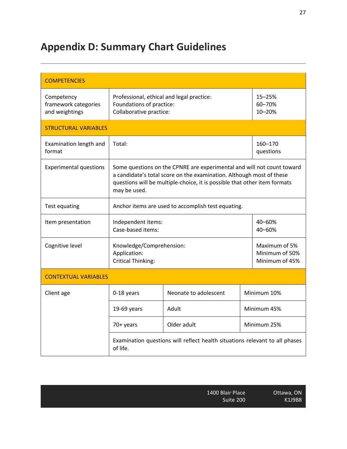# **Appendix D: Summary Chart Guidelines**

| <b>COMPETENCIES</b>                                  |                                                                                                                                                                                                                                             |                       |                                                   |                            |  |
|------------------------------------------------------|---------------------------------------------------------------------------------------------------------------------------------------------------------------------------------------------------------------------------------------------|-----------------------|---------------------------------------------------|----------------------------|--|
| Competency<br>framework categories<br>and weightings | Professional, ethical and legal practice:<br>Foundations of practice:<br>Collaborative practice:                                                                                                                                            |                       |                                                   | 15-25%<br>60-70%<br>10-20% |  |
| <b>STRUCTURAL VARIABLES</b>                          |                                                                                                                                                                                                                                             |                       |                                                   |                            |  |
| Examination length and<br>format                     | Total:                                                                                                                                                                                                                                      |                       |                                                   | 160-170<br>questions       |  |
| <b>Experimental questions</b>                        | Some questions on the CPNRE are experimental and will not count toward<br>a candidate's total score on the examination. Although most of these<br>questions will be multiple-choice, it is possible that other item formats<br>may be used. |                       |                                                   |                            |  |
| Test equating                                        | Anchor items are used to accomplish test equating.                                                                                                                                                                                          |                       |                                                   |                            |  |
| Item presentation                                    | Independent items:<br>Case-based items:                                                                                                                                                                                                     |                       | 40-60%<br>40-60%                                  |                            |  |
| Cognitive level                                      | Knowledge/Comprehension:<br>Application:<br><b>Critical Thinking:</b>                                                                                                                                                                       |                       | Maximum of 5%<br>Minimum of 50%<br>Minimum of 45% |                            |  |
| <b>CONTEXTUAL VARIABLES</b>                          |                                                                                                                                                                                                                                             |                       |                                                   |                            |  |
| Client age                                           | 0-18 years                                                                                                                                                                                                                                  | Neonate to adolescent |                                                   | Minimum 10%<br>Minimum 45% |  |
|                                                      | 19-69 years                                                                                                                                                                                                                                 | Adult                 |                                                   |                            |  |
|                                                      | 70+ years                                                                                                                                                                                                                                   | Older adult           | Minimum 25%                                       |                            |  |
|                                                      | Examination questions will reflect health situations relevant to all phases<br>of life.                                                                                                                                                     |                       |                                                   |                            |  |

| 1400 Blair Place |  |
|------------------|--|
| Suite 200        |  |